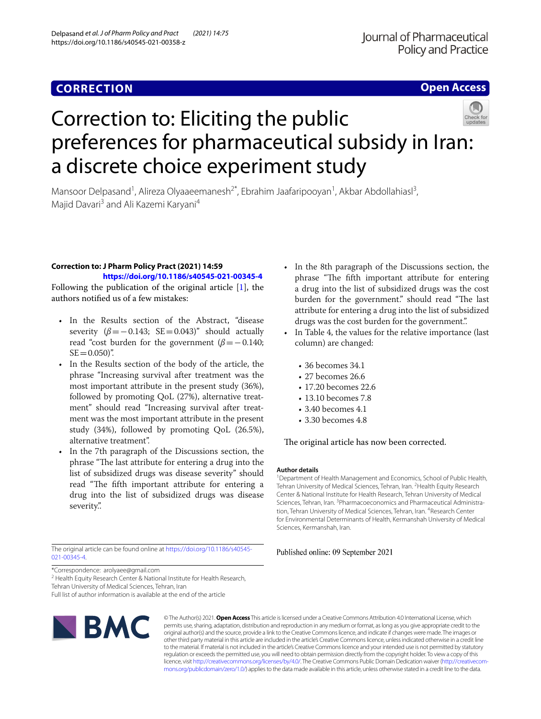## **CORRECTION**

### **Open Access**



# Correction to: Eliciting the public preferences for pharmaceutical subsidy in Iran: a discrete choice experiment study

Mansoor Delpasand<sup>1</sup>, Alireza Olyaaeemanesh<sup>2\*</sup>, Ebrahim Jaafaripooyan<sup>1</sup>, Akbar Abdollahiasl<sup>3</sup>, Majid Davari<sup>3</sup> and Ali Kazemi Karyani<sup>4</sup>

#### **Correction to: J Pharm Policy Pract (2021) 14:59**

**<https://doi.org/10.1186/s40545-021-00345-4>** Following the publication of the original article [\[1](#page-1-0)], the

authors notifed us of a few mistakes:

- In the Results section of the Abstract, "disease severity  $(\beta = -0.143; \text{ SE} = 0.043)'$  should actually read "cost burden for the government ( $\beta$ = − 0.140;  $SE = 0.050$ ".
- In the Results section of the body of the article, the phrase "Increasing survival after treatment was the most important attribute in the present study (36%), followed by promoting QoL (27%), alternative treatment" should read "Increasing survival after treatment was the most important attribute in the present study (34%), followed by promoting QoL (26.5%), alternative treatment".
- In the 7th paragraph of the Discussions section, the phrase "The last attribute for entering a drug into the list of subsidized drugs was disease severity" should read "The fifth important attribute for entering a drug into the list of subsidized drugs was disease severity.".

The original article can be found online at [https://doi.org/10.1186/s40545-](https://doi.org/10.1186/s40545-021-00345-4) [021-00345-4](https://doi.org/10.1186/s40545-021-00345-4).

\*Correspondence: arolyaee@gmail.com

<sup>2</sup> Health Equity Research Center & National Institute for Health Research,

Tehran University of Medical Sciences, Tehran, Iran

Full list of author information is available at the end of the article



© The Author(s) 2021. **Open Access** This article is licensed under a Creative Commons Attribution 4.0 International License, which permits use, sharing, adaptation, distribution and reproduction in any medium or format, as long as you give appropriate credit to the original author(s) and the source, provide a link to the Creative Commons licence, and indicate if changes were made. The images or other third party material in this article are included in the article's Creative Commons licence, unless indicated otherwise in a credit line to the material. If material is not included in the article's Creative Commons licence and your intended use is not permitted by statutory regulation or exceeds the permitted use, you will need to obtain permission directly from the copyright holder. To view a copy of this licence, visit [http://creativecommons.org/licenses/by/4.0/.](http://creativecommons.org/licenses/by/4.0/) The Creative Commons Public Domain Dedication waiver ([http://creativecom](http://creativecommons.org/publicdomain/zero/1.0/)[mons.org/publicdomain/zero/1.0/\)](http://creativecommons.org/publicdomain/zero/1.0/) applies to the data made available in this article, unless otherwise stated in a credit line to the data.

- In the 8th paragraph of the Discussions section, the phrase "The fifth important attribute for entering a drug into the list of subsidized drugs was the cost burden for the government." should read "The last attribute for entering a drug into the list of subsidized drugs was the cost burden for the government."
- In Table 4, the values for the relative importance (last column) are changed:
	- 36 becomes 34.1
	- 27 becomes 26.6
	- 17.20 becomes 22.6
	- 13.10 becomes 7.8
	- 3.40 becomes 4.1
	- 3.30 becomes 4.8

The original article has now been corrected.

#### **Author details**

<sup>1</sup> Department of Health Management and Economics, School of Public Health, Tehran University of Medical Sciences, Tehran, Iran. <sup>2</sup> Health Equity Research Center & National Institute for Health Research, Tehran University of Medical Sciences, Tehran, Iran. <sup>3</sup> Pharmacoeconomics and Pharmaceutical Administration, Tehran University of Medical Sciences, Tehran, Iran. <sup>4</sup> Research Center for Environmental Determinants of Health, Kermanshah University of Medical Sciences, Kermanshah, Iran.

#### Published online: 09 September 2021